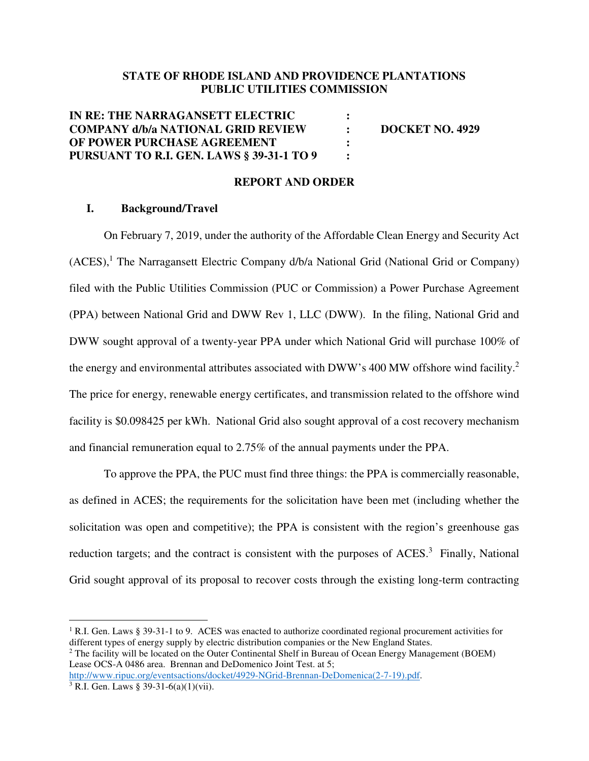## **STATE OF RHODE ISLAND AND PROVIDENCE PLANTATIONS PUBLIC UTILITIES COMMISSION**

| IN RE: THE NARRAGANSETT ELECTRIC                 |               |                        |
|--------------------------------------------------|---------------|------------------------|
| <b>COMPANY d/b/a NATIONAL GRID REVIEW</b>        | $\sim$ $\sim$ | <b>DOCKET NO. 4929</b> |
| OF POWER PURCHASE AGREEMENT                      |               |                        |
| <b>PURSUANT TO R.I. GEN. LAWS § 39-31-1 TO 9</b> |               |                        |

## **REPORT AND ORDER**

## **I. Background/Travel**

On February 7, 2019, under the authority of the Affordable Clean Energy and Security Act (ACES),<sup>1</sup> The Narragansett Electric Company d/b/a National Grid (National Grid or Company) filed with the Public Utilities Commission (PUC or Commission) a Power Purchase Agreement (PPA) between National Grid and DWW Rev 1, LLC (DWW). In the filing, National Grid and DWW sought approval of a twenty-year PPA under which National Grid will purchase 100% of the energy and environmental attributes associated with DWW's 400 MW offshore wind facility.<sup>2</sup> The price for energy, renewable energy certificates, and transmission related to the offshore wind facility is \$0.098425 per kWh. National Grid also sought approval of a cost recovery mechanism and financial remuneration equal to 2.75% of the annual payments under the PPA.

To approve the PPA, the PUC must find three things: the PPA is commercially reasonable, as defined in ACES; the requirements for the solicitation have been met (including whether the solicitation was open and competitive); the PPA is consistent with the region's greenhouse gas reduction targets; and the contract is consistent with the purposes of ACES.<sup>3</sup> Finally, National Grid sought approval of its proposal to recover costs through the existing long-term contracting

<sup>1</sup> R.I. Gen. Laws § 39-31-1 to 9. ACES was enacted to authorize coordinated regional procurement activities for different types of energy supply by electric distribution companies or the New England States.

 $2$  The facility will be located on the Outer Continental Shelf in Bureau of Ocean Energy Management (BOEM) Lease OCS-A 0486 area. Brennan and DeDomenico Joint Test. at 5;

http://www.ripuc.org/eventsactions/docket/4929-NGrid-Brennan-DeDomenica(2-7-19).pdf.

<sup>3</sup> R.I. Gen. Laws § 39-31-6(a)(1)(vii).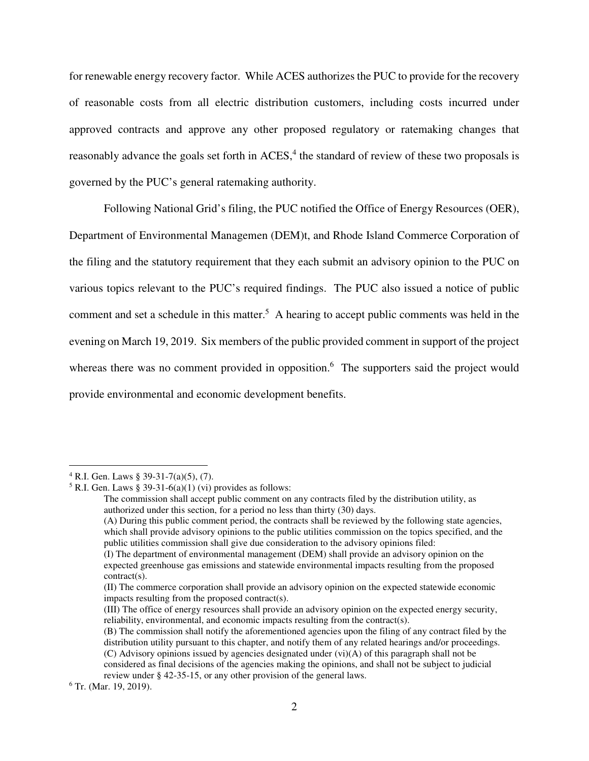for renewable energy recovery factor. While ACES authorizes the PUC to provide for the recovery of reasonable costs from all electric distribution customers, including costs incurred under approved contracts and approve any other proposed regulatory or ratemaking changes that reasonably advance the goals set forth in  $ACES$ ,<sup>4</sup> the standard of review of these two proposals is governed by the PUC's general ratemaking authority.

Following National Grid's filing, the PUC notified the Office of Energy Resources (OER), Department of Environmental Managemen (DEM)t, and Rhode Island Commerce Corporation of the filing and the statutory requirement that they each submit an advisory opinion to the PUC on various topics relevant to the PUC's required findings. The PUC also issued a notice of public comment and set a schedule in this matter.<sup>5</sup> A hearing to accept public comments was held in the evening on March 19, 2019. Six members of the public provided comment in support of the project whereas there was no comment provided in opposition.<sup>6</sup> The supporters said the project would provide environmental and economic development benefits.

 $4$  R.I. Gen. Laws § 39-31-7(a)(5), (7).

 $5$  R.I. Gen. Laws § 39-31-6(a)(1) (vi) provides as follows:

The commission shall accept public comment on any contracts filed by the distribution utility, as authorized under this section, for a period no less than thirty (30) days.

<sup>(</sup>A) During this public comment period, the contracts shall be reviewed by the following state agencies, which shall provide advisory opinions to the public utilities commission on the topics specified, and the public utilities commission shall give due consideration to the advisory opinions filed:

<sup>(</sup>I) The department of environmental management (DEM) shall provide an advisory opinion on the expected greenhouse gas emissions and statewide environmental impacts resulting from the proposed contract(s).

<sup>(</sup>II) The commerce corporation shall provide an advisory opinion on the expected statewide economic impacts resulting from the proposed contract(s).

<sup>(</sup>III) The office of energy resources shall provide an advisory opinion on the expected energy security, reliability, environmental, and economic impacts resulting from the contract(s).

<sup>(</sup>B) The commission shall notify the aforementioned agencies upon the filing of any contract filed by the distribution utility pursuant to this chapter, and notify them of any related hearings and/or proceedings. (C) Advisory opinions issued by agencies designated under (vi)(A) of this paragraph shall not be considered as final decisions of the agencies making the opinions, and shall not be subject to judicial review under § 42-35-15, or any other provision of the general laws.

<sup>6</sup> Tr. (Mar. 19, 2019).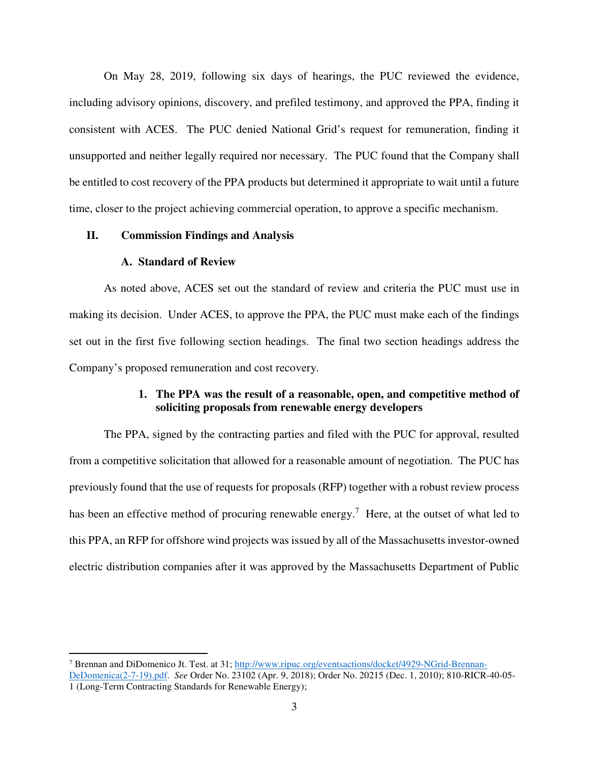On May 28, 2019, following six days of hearings, the PUC reviewed the evidence, including advisory opinions, discovery, and prefiled testimony, and approved the PPA, finding it consistent with ACES. The PUC denied National Grid's request for remuneration, finding it unsupported and neither legally required nor necessary. The PUC found that the Company shall be entitled to cost recovery of the PPA products but determined it appropriate to wait until a future time, closer to the project achieving commercial operation, to approve a specific mechanism.

## **II. Commission Findings and Analysis**

#### **A. Standard of Review**

 $\overline{a}$ 

As noted above, ACES set out the standard of review and criteria the PUC must use in making its decision. Under ACES, to approve the PPA, the PUC must make each of the findings set out in the first five following section headings. The final two section headings address the Company's proposed remuneration and cost recovery.

## **1. The PPA was the result of a reasonable, open, and competitive method of soliciting proposals from renewable energy developers**

The PPA, signed by the contracting parties and filed with the PUC for approval, resulted from a competitive solicitation that allowed for a reasonable amount of negotiation. The PUC has previously found that the use of requests for proposals (RFP) together with a robust review process has been an effective method of procuring renewable energy.<sup>7</sup> Here, at the outset of what led to this PPA, an RFP for offshore wind projects was issued by all of the Massachusetts investor-owned electric distribution companies after it was approved by the Massachusetts Department of Public

<sup>&</sup>lt;sup>7</sup> Brennan and DiDomenico Jt. Test. at 31; http://www.ripuc.org/eventsactions/docket/4929-NGrid-Brennan-DeDomenica(2-7-19).pdf. *See* Order No. 23102 (Apr. 9, 2018); Order No. 20215 (Dec. 1, 2010); 810-RICR-40-05- 1 (Long-Term Contracting Standards for Renewable Energy);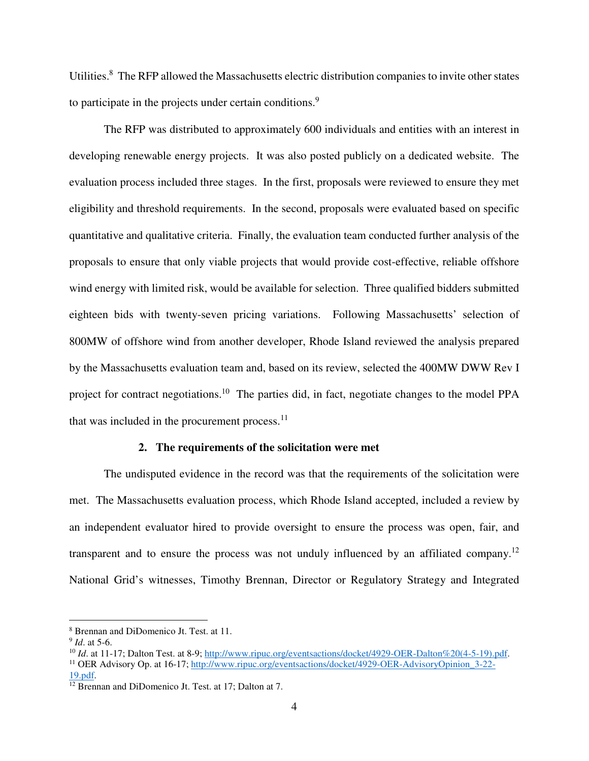Utilities.<sup>8</sup> The RFP allowed the Massachusetts electric distribution companies to invite other states to participate in the projects under certain conditions.<sup>9</sup>

The RFP was distributed to approximately 600 individuals and entities with an interest in developing renewable energy projects. It was also posted publicly on a dedicated website. The evaluation process included three stages. In the first, proposals were reviewed to ensure they met eligibility and threshold requirements. In the second, proposals were evaluated based on specific quantitative and qualitative criteria. Finally, the evaluation team conducted further analysis of the proposals to ensure that only viable projects that would provide cost-effective, reliable offshore wind energy with limited risk, would be available for selection. Three qualified bidders submitted eighteen bids with twenty-seven pricing variations. Following Massachusetts' selection of 800MW of offshore wind from another developer, Rhode Island reviewed the analysis prepared by the Massachusetts evaluation team and, based on its review, selected the 400MW DWW Rev I project for contract negotiations.<sup>10</sup> The parties did, in fact, negotiate changes to the model PPA that was included in the procurement process. $<sup>11</sup>$ </sup>

## **2. The requirements of the solicitation were met**

The undisputed evidence in the record was that the requirements of the solicitation were met. The Massachusetts evaluation process, which Rhode Island accepted, included a review by an independent evaluator hired to provide oversight to ensure the process was open, fair, and transparent and to ensure the process was not unduly influenced by an affiliated company.<sup>12</sup> National Grid's witnesses, Timothy Brennan, Director or Regulatory Strategy and Integrated

<sup>8</sup> Brennan and DiDomenico Jt. Test. at 11.

<sup>9</sup> *Id*. at 5-6.

<sup>&</sup>lt;sup>10</sup> *Id.* at 11-17; Dalton Test. at 8-9; http://www.ripuc.org/eventsactions/docket/4929-OER-Dalton%20(4-5-19).pdf. <sup>11</sup> OER Advisory Op. at 16-17; http://www.ripuc.org/eventsactions/docket/4929-OER-AdvisoryOpinion\_3-22-19.pdf.

 $12$  Brennan and DiDomenico Jt. Test. at 17; Dalton at 7.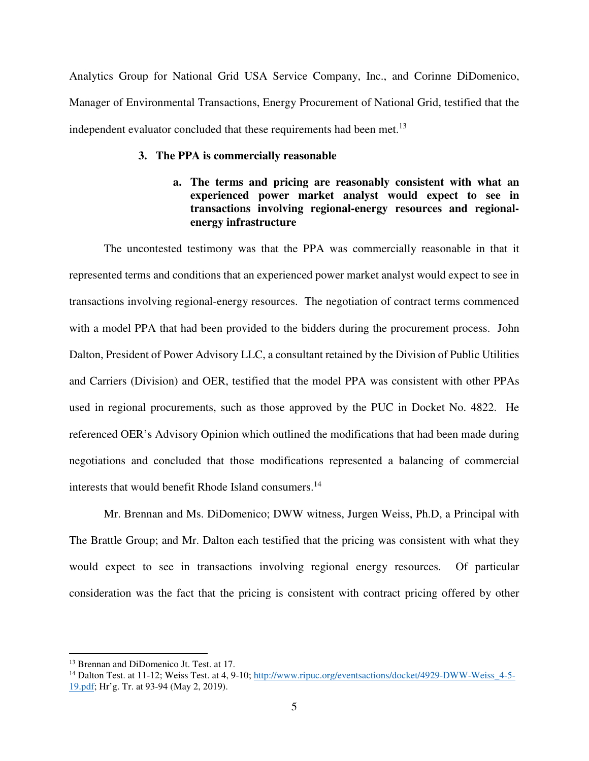Analytics Group for National Grid USA Service Company, Inc., and Corinne DiDomenico, Manager of Environmental Transactions, Energy Procurement of National Grid, testified that the independent evaluator concluded that these requirements had been met.<sup>13</sup>

### **3. The PPA is commercially reasonable**

## **a. The terms and pricing are reasonably consistent with what an experienced power market analyst would expect to see in transactions involving regional-energy resources and regionalenergy infrastructure**

The uncontested testimony was that the PPA was commercially reasonable in that it represented terms and conditions that an experienced power market analyst would expect to see in transactions involving regional-energy resources. The negotiation of contract terms commenced with a model PPA that had been provided to the bidders during the procurement process. John Dalton, President of Power Advisory LLC, a consultant retained by the Division of Public Utilities and Carriers (Division) and OER, testified that the model PPA was consistent with other PPAs used in regional procurements, such as those approved by the PUC in Docket No. 4822. He referenced OER's Advisory Opinion which outlined the modifications that had been made during negotiations and concluded that those modifications represented a balancing of commercial interests that would benefit Rhode Island consumers.<sup>14</sup>

Mr. Brennan and Ms. DiDomenico; DWW witness, Jurgen Weiss, Ph.D, a Principal with The Brattle Group; and Mr. Dalton each testified that the pricing was consistent with what they would expect to see in transactions involving regional energy resources. Of particular consideration was the fact that the pricing is consistent with contract pricing offered by other

<sup>&</sup>lt;sup>13</sup> Brennan and DiDomenico Jt. Test. at 17.

<sup>&</sup>lt;sup>14</sup> Dalton Test. at 11-12; Weiss Test. at 4, 9-10; http://www.ripuc.org/eventsactions/docket/4929-DWW-Weiss 4-5-19.pdf; Hr'g. Tr. at 93-94 (May 2, 2019).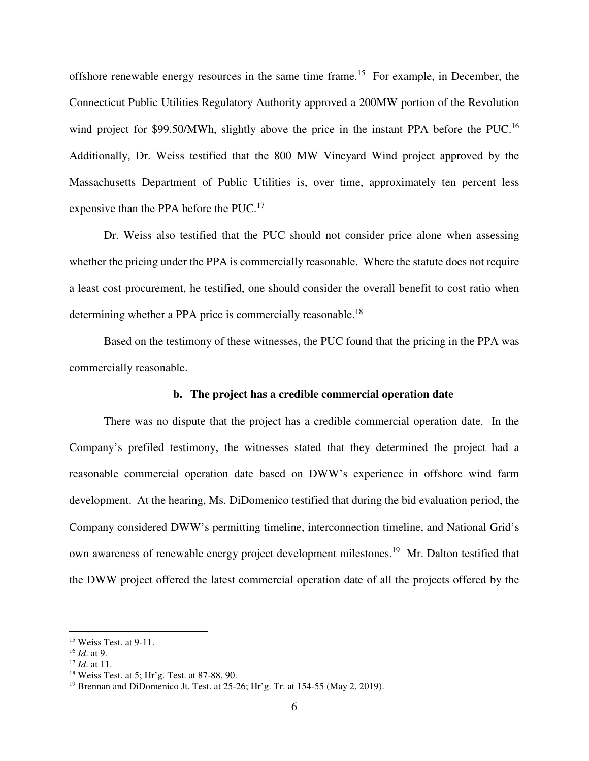offshore renewable energy resources in the same time frame.<sup>15</sup> For example, in December, the Connecticut Public Utilities Regulatory Authority approved a 200MW portion of the Revolution wind project for \$99.50/MWh, slightly above the price in the instant PPA before the PUC.<sup>16</sup> Additionally, Dr. Weiss testified that the 800 MW Vineyard Wind project approved by the Massachusetts Department of Public Utilities is, over time, approximately ten percent less expensive than the PPA before the PUC.<sup>17</sup>

Dr. Weiss also testified that the PUC should not consider price alone when assessing whether the pricing under the PPA is commercially reasonable. Where the statute does not require a least cost procurement, he testified, one should consider the overall benefit to cost ratio when determining whether a PPA price is commercially reasonable.<sup>18</sup>

Based on the testimony of these witnesses, the PUC found that the pricing in the PPA was commercially reasonable.

## **b. The project has a credible commercial operation date**

There was no dispute that the project has a credible commercial operation date. In the Company's prefiled testimony, the witnesses stated that they determined the project had a reasonable commercial operation date based on DWW's experience in offshore wind farm development. At the hearing, Ms. DiDomenico testified that during the bid evaluation period, the Company considered DWW's permitting timeline, interconnection timeline, and National Grid's own awareness of renewable energy project development milestones.<sup>19</sup> Mr. Dalton testified that the DWW project offered the latest commercial operation date of all the projects offered by the

 $15$  Weiss Test. at 9-11.

<sup>16</sup> *Id*. at 9.

<sup>17</sup> *Id*. at 11.

<sup>18</sup> Weiss Test. at 5; Hr'g. Test. at 87-88, 90.

<sup>19</sup> Brennan and DiDomenico Jt. Test. at 25-26; Hr'g. Tr. at 154-55 (May 2, 2019).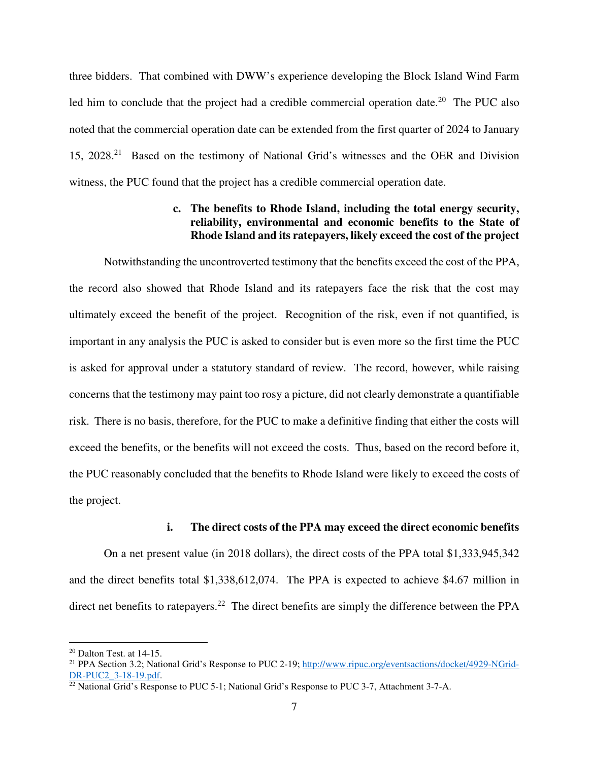three bidders. That combined with DWW's experience developing the Block Island Wind Farm led him to conclude that the project had a credible commercial operation date.<sup>20</sup> The PUC also noted that the commercial operation date can be extended from the first quarter of 2024 to January 15, 2028.<sup>21</sup> Based on the testimony of National Grid's witnesses and the OER and Division witness, the PUC found that the project has a credible commercial operation date.

## **c. The benefits to Rhode Island, including the total energy security, reliability, environmental and economic benefits to the State of Rhode Island and its ratepayers, likely exceed the cost of the project**

Notwithstanding the uncontroverted testimony that the benefits exceed the cost of the PPA, the record also showed that Rhode Island and its ratepayers face the risk that the cost may ultimately exceed the benefit of the project. Recognition of the risk, even if not quantified, is important in any analysis the PUC is asked to consider but is even more so the first time the PUC is asked for approval under a statutory standard of review. The record, however, while raising concerns that the testimony may paint too rosy a picture, did not clearly demonstrate a quantifiable risk. There is no basis, therefore, for the PUC to make a definitive finding that either the costs will exceed the benefits, or the benefits will not exceed the costs. Thus, based on the record before it, the PUC reasonably concluded that the benefits to Rhode Island were likely to exceed the costs of the project.

#### **i. The direct costs of the PPA may exceed the direct economic benefits**

 On a net present value (in 2018 dollars), the direct costs of the PPA total \$1,333,945,342 and the direct benefits total \$1,338,612,074. The PPA is expected to achieve \$4.67 million in direct net benefits to ratepayers.<sup>22</sup> The direct benefits are simply the difference between the PPA

 $20$  Dalton Test. at 14-15.

<sup>&</sup>lt;sup>21</sup> PPA Section 3.2; National Grid's Response to PUC 2-19; http://www.ripuc.org/eventsactions/docket/4929-NGrid-DR-PUC2 3-18-19.pdf.

<sup>&</sup>lt;sup>22</sup> National Grid's Response to PUC 5-1; National Grid's Response to PUC 3-7, Attachment 3-7-A.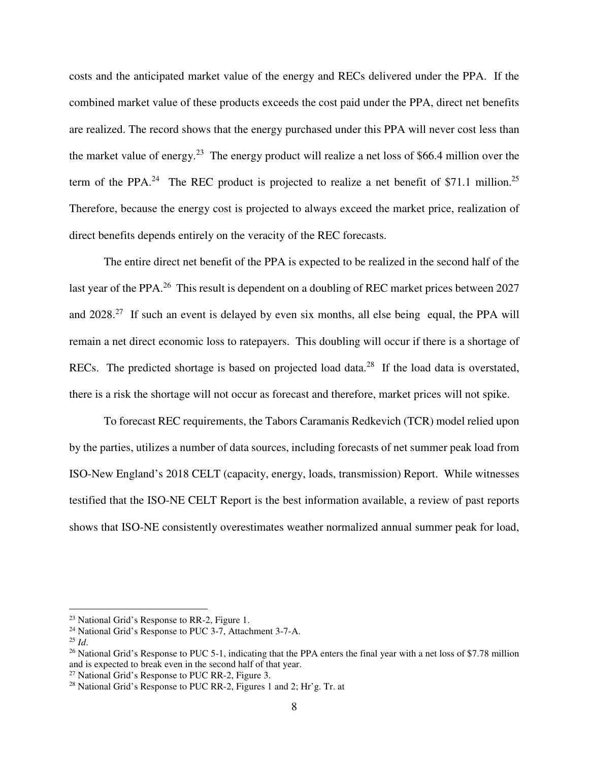costs and the anticipated market value of the energy and RECs delivered under the PPA. If the combined market value of these products exceeds the cost paid under the PPA, direct net benefits are realized. The record shows that the energy purchased under this PPA will never cost less than the market value of energy.<sup>23</sup> The energy product will realize a net loss of \$66.4 million over the term of the PPA.<sup>24</sup> The REC product is projected to realize a net benefit of \$71.1 million.<sup>25</sup> Therefore, because the energy cost is projected to always exceed the market price, realization of direct benefits depends entirely on the veracity of the REC forecasts.

 The entire direct net benefit of the PPA is expected to be realized in the second half of the last year of the PPA.<sup>26</sup> This result is dependent on a doubling of REC market prices between 2027 and  $2028<sup>27</sup>$  If such an event is delayed by even six months, all else being equal, the PPA will remain a net direct economic loss to ratepayers. This doubling will occur if there is a shortage of RECs. The predicted shortage is based on projected load data.<sup>28</sup> If the load data is overstated, there is a risk the shortage will not occur as forecast and therefore, market prices will not spike.

To forecast REC requirements, the Tabors Caramanis Redkevich (TCR) model relied upon by the parties, utilizes a number of data sources, including forecasts of net summer peak load from ISO-New England's 2018 CELT (capacity, energy, loads, transmission) Report. While witnesses testified that the ISO-NE CELT Report is the best information available, a review of past reports shows that ISO-NE consistently overestimates weather normalized annual summer peak for load,

<sup>23</sup> National Grid's Response to RR-2, Figure 1.

<sup>&</sup>lt;sup>24</sup> National Grid's Response to PUC 3-7, Attachment 3-7-A.

 $^{25}$  *Id.* 

<sup>&</sup>lt;sup>26</sup> National Grid's Response to PUC 5-1, indicating that the PPA enters the final year with a net loss of \$7.78 million and is expected to break even in the second half of that year.

 $27$  National Grid's Response to PUC RR-2, Figure 3.

<sup>&</sup>lt;sup>28</sup> National Grid's Response to PUC RR-2, Figures 1 and 2; Hr'g. Tr. at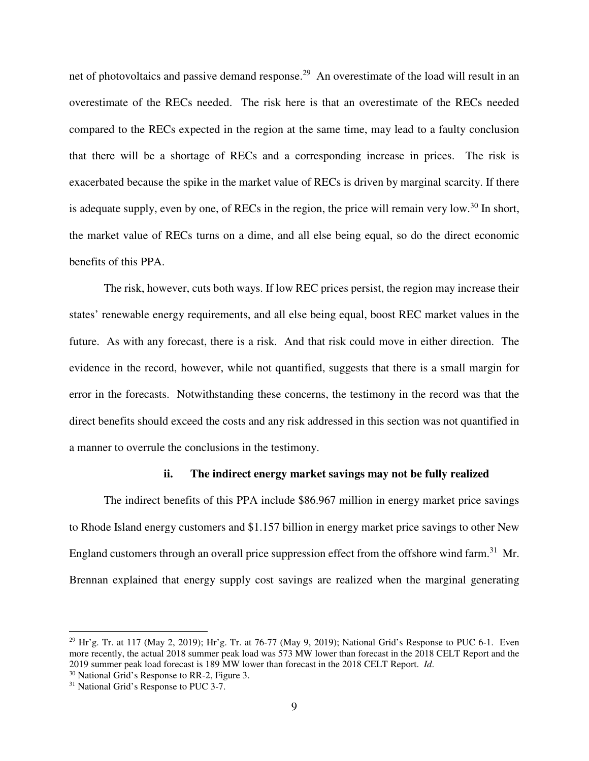net of photovoltaics and passive demand response.<sup>29</sup> An overestimate of the load will result in an overestimate of the RECs needed. The risk here is that an overestimate of the RECs needed compared to the RECs expected in the region at the same time, may lead to a faulty conclusion that there will be a shortage of RECs and a corresponding increase in prices. The risk is exacerbated because the spike in the market value of RECs is driven by marginal scarcity. If there is adequate supply, even by one, of RECs in the region, the price will remain very low.<sup>30</sup> In short, the market value of RECs turns on a dime, and all else being equal, so do the direct economic benefits of this PPA.

The risk, however, cuts both ways. If low REC prices persist, the region may increase their states' renewable energy requirements, and all else being equal, boost REC market values in the future. As with any forecast, there is a risk. And that risk could move in either direction. The evidence in the record, however, while not quantified, suggests that there is a small margin for error in the forecasts. Notwithstanding these concerns, the testimony in the record was that the direct benefits should exceed the costs and any risk addressed in this section was not quantified in a manner to overrule the conclusions in the testimony.

#### **ii. The indirect energy market savings may not be fully realized**

The indirect benefits of this PPA include \$86.967 million in energy market price savings to Rhode Island energy customers and \$1.157 billion in energy market price savings to other New England customers through an overall price suppression effect from the offshore wind farm.<sup>31</sup> Mr. Brennan explained that energy supply cost savings are realized when the marginal generating

 $^{29}$  Hr'g. Tr. at 117 (May 2, 2019); Hr'g. Tr. at 76-77 (May 9, 2019); National Grid's Response to PUC 6-1. Even more recently, the actual 2018 summer peak load was 573 MW lower than forecast in the 2018 CELT Report and the 2019 summer peak load forecast is 189 MW lower than forecast in the 2018 CELT Report. *Id*.

<sup>30</sup> National Grid's Response to RR-2, Figure 3.

<sup>&</sup>lt;sup>31</sup> National Grid's Response to PUC 3-7.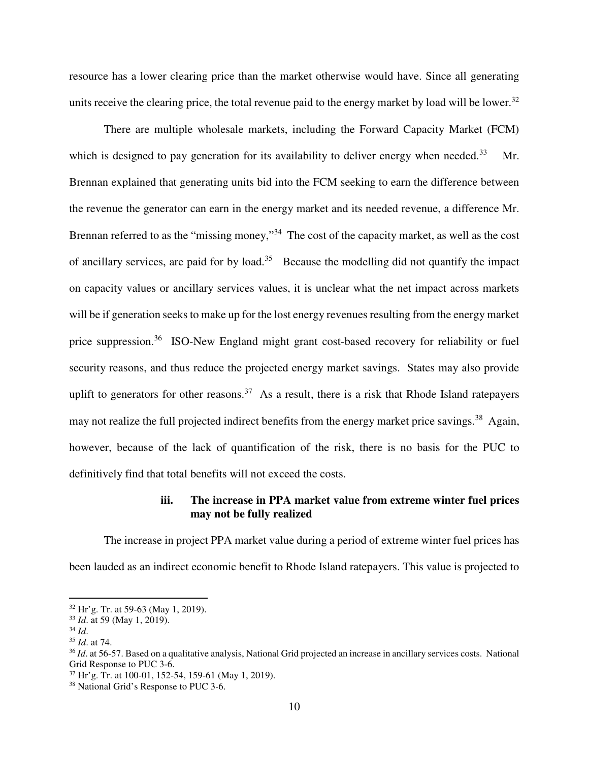resource has a lower clearing price than the market otherwise would have. Since all generating units receive the clearing price, the total revenue paid to the energy market by load will be lower.<sup>32</sup>

There are multiple wholesale markets, including the Forward Capacity Market (FCM) which is designed to pay generation for its availability to deliver energy when needed.<sup>33</sup> Mr. Brennan explained that generating units bid into the FCM seeking to earn the difference between the revenue the generator can earn in the energy market and its needed revenue, a difference Mr. Brennan referred to as the "missing money,"<sup>34</sup> The cost of the capacity market, as well as the cost of ancillary services, are paid for by load.<sup>35</sup> Because the modelling did not quantify the impact on capacity values or ancillary services values, it is unclear what the net impact across markets will be if generation seeks to make up for the lost energy revenues resulting from the energy market price suppression.<sup>36</sup> ISO-New England might grant cost-based recovery for reliability or fuel security reasons, and thus reduce the projected energy market savings. States may also provide uplift to generators for other reasons.<sup>37</sup> As a result, there is a risk that Rhode Island ratepayers may not realize the full projected indirect benefits from the energy market price savings.<sup>38</sup> Again, however, because of the lack of quantification of the risk, there is no basis for the PUC to definitively find that total benefits will not exceed the costs.

## **iii. The increase in PPA market value from extreme winter fuel prices may not be fully realized**

The increase in project PPA market value during a period of extreme winter fuel prices has been lauded as an indirect economic benefit to Rhode Island ratepayers. This value is projected to

<sup>32</sup> Hr'g. Tr. at 59-63 (May 1, 2019).

<sup>33</sup> *Id*. at 59 (May 1, 2019).

<sup>34</sup> *Id*.

<sup>35</sup> *Id*. at 74.

<sup>&</sup>lt;sup>36</sup> *Id.* at 56-57. Based on a qualitative analysis, National Grid projected an increase in ancillary services costs. National Grid Response to PUC 3-6.

<sup>37</sup> Hr'g. Tr. at 100-01, 152-54, 159-61 (May 1, 2019).

<sup>38</sup> National Grid's Response to PUC 3-6.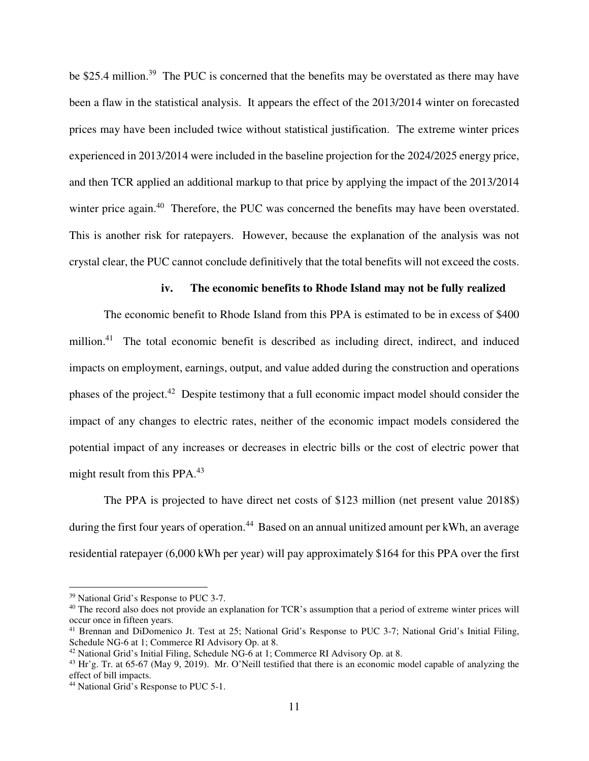be \$25.4 million.<sup>39</sup> The PUC is concerned that the benefits may be overstated as there may have been a flaw in the statistical analysis. It appears the effect of the 2013/2014 winter on forecasted prices may have been included twice without statistical justification. The extreme winter prices experienced in 2013/2014 were included in the baseline projection for the 2024/2025 energy price, and then TCR applied an additional markup to that price by applying the impact of the 2013/2014 winter price again.<sup>40</sup> Therefore, the PUC was concerned the benefits may have been overstated. This is another risk for ratepayers. However, because the explanation of the analysis was not crystal clear, the PUC cannot conclude definitively that the total benefits will not exceed the costs.

## **iv. The economic benefits to Rhode Island may not be fully realized**

The economic benefit to Rhode Island from this PPA is estimated to be in excess of \$400 million.<sup>41</sup> The total economic benefit is described as including direct, indirect, and induced impacts on employment, earnings, output, and value added during the construction and operations phases of the project.<sup>42</sup> Despite testimony that a full economic impact model should consider the impact of any changes to electric rates, neither of the economic impact models considered the potential impact of any increases or decreases in electric bills or the cost of electric power that might result from this PPA.<sup>43</sup>

The PPA is projected to have direct net costs of \$123 million (net present value 2018\$) during the first four years of operation.<sup>44</sup> Based on an annual unitized amount per kWh, an average residential ratepayer (6,000 kWh per year) will pay approximately \$164 for this PPA over the first

<sup>39</sup> National Grid's Response to PUC 3-7.

<sup>&</sup>lt;sup>40</sup> The record also does not provide an explanation for TCR's assumption that a period of extreme winter prices will occur once in fifteen years.

<sup>41</sup> Brennan and DiDomenico Jt. Test at 25; National Grid's Response to PUC 3-7; National Grid's Initial Filing, Schedule NG-6 at 1; Commerce RI Advisory Op. at 8.

<sup>42</sup> National Grid's Initial Filing, Schedule NG-6 at 1; Commerce RI Advisory Op. at 8.

 $^{43}$  Hr'g. Tr. at 65-67 (May 9, 2019). Mr. O'Neill testified that there is an economic model capable of analyzing the effect of bill impacts.

<sup>44</sup> National Grid's Response to PUC 5-1.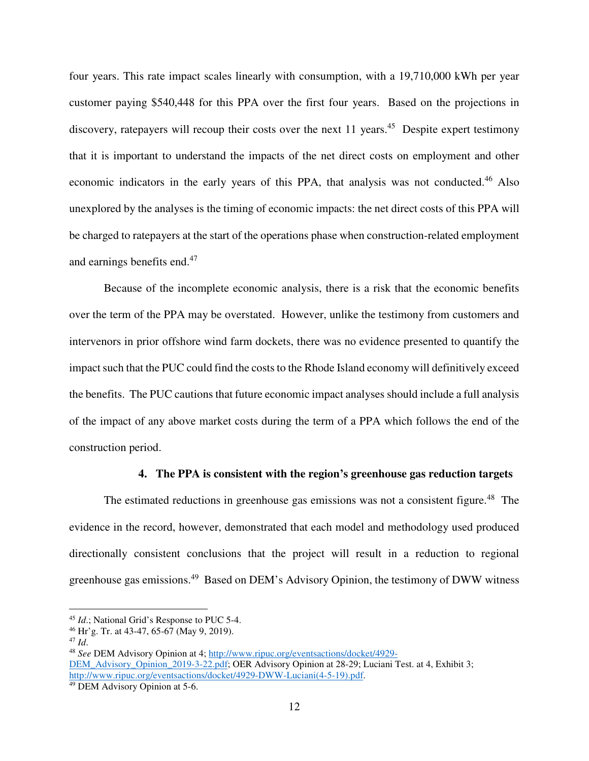four years. This rate impact scales linearly with consumption, with a 19,710,000 kWh per year customer paying \$540,448 for this PPA over the first four years. Based on the projections in discovery, ratepayers will recoup their costs over the next 11 years.<sup>45</sup> Despite expert testimony that it is important to understand the impacts of the net direct costs on employment and other economic indicators in the early years of this PPA, that analysis was not conducted.<sup>46</sup> Also unexplored by the analyses is the timing of economic impacts: the net direct costs of this PPA will be charged to ratepayers at the start of the operations phase when construction-related employment and earnings benefits end.<sup>47</sup>

Because of the incomplete economic analysis, there is a risk that the economic benefits over the term of the PPA may be overstated. However, unlike the testimony from customers and intervenors in prior offshore wind farm dockets, there was no evidence presented to quantify the impact such that the PUC could find the costs to the Rhode Island economy will definitively exceed the benefits. The PUC cautions that future economic impact analyses should include a full analysis of the impact of any above market costs during the term of a PPA which follows the end of the construction period.

#### **4. The PPA is consistent with the region's greenhouse gas reduction targets**

The estimated reductions in greenhouse gas emissions was not a consistent figure.<sup>48</sup> The evidence in the record, however, demonstrated that each model and methodology used produced directionally consistent conclusions that the project will result in a reduction to regional greenhouse gas emissions.<sup>49</sup> Based on DEM's Advisory Opinion, the testimony of DWW witness

<sup>45</sup> *Id*.; National Grid's Response to PUC 5-4.

<sup>46</sup> Hr'g. Tr. at 43-47, 65-67 (May 9, 2019).

<sup>47</sup> *Id*.

<sup>48</sup> *See* DEM Advisory Opinion at 4; http://www.ripuc.org/eventsactions/docket/4929- DEM\_Advisory\_Opinion\_2019-3-22.pdf; OER Advisory Opinion at 28-29; Luciani Test. at 4, Exhibit 3; http://www.ripuc.org/eventsactions/docket/4929-DWW-Luciani(4-5-19).pdf.

<sup>49</sup> DEM Advisory Opinion at 5-6.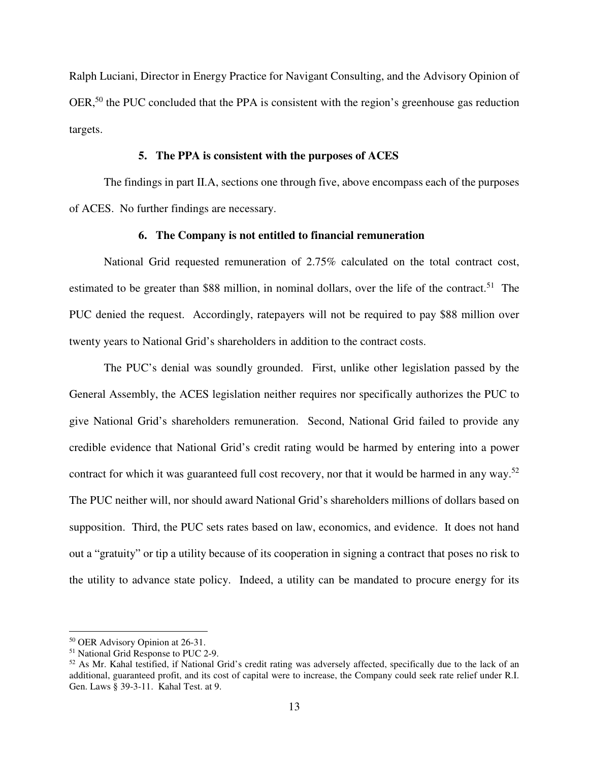Ralph Luciani, Director in Energy Practice for Navigant Consulting, and the Advisory Opinion of OER,<sup>50</sup> the PUC concluded that the PPA is consistent with the region's greenhouse gas reduction targets.

## **5. The PPA is consistent with the purposes of ACES**

The findings in part II.A, sections one through five, above encompass each of the purposes of ACES. No further findings are necessary.

## **6. The Company is not entitled to financial remuneration**

National Grid requested remuneration of 2.75% calculated on the total contract cost, estimated to be greater than \$88 million, in nominal dollars, over the life of the contract.<sup>51</sup> The PUC denied the request. Accordingly, ratepayers will not be required to pay \$88 million over twenty years to National Grid's shareholders in addition to the contract costs.

The PUC's denial was soundly grounded. First, unlike other legislation passed by the General Assembly, the ACES legislation neither requires nor specifically authorizes the PUC to give National Grid's shareholders remuneration. Second, National Grid failed to provide any credible evidence that National Grid's credit rating would be harmed by entering into a power contract for which it was guaranteed full cost recovery, nor that it would be harmed in any way.<sup>52</sup> The PUC neither will, nor should award National Grid's shareholders millions of dollars based on supposition. Third, the PUC sets rates based on law, economics, and evidence. It does not hand out a "gratuity" or tip a utility because of its cooperation in signing a contract that poses no risk to the utility to advance state policy. Indeed, a utility can be mandated to procure energy for its

<sup>50</sup> OER Advisory Opinion at 26-31.

<sup>51</sup> National Grid Response to PUC 2-9.

 $52$  As Mr. Kahal testified, if National Grid's credit rating was adversely affected, specifically due to the lack of an additional, guaranteed profit, and its cost of capital were to increase, the Company could seek rate relief under R.I. Gen. Laws § 39-3-11. Kahal Test. at 9.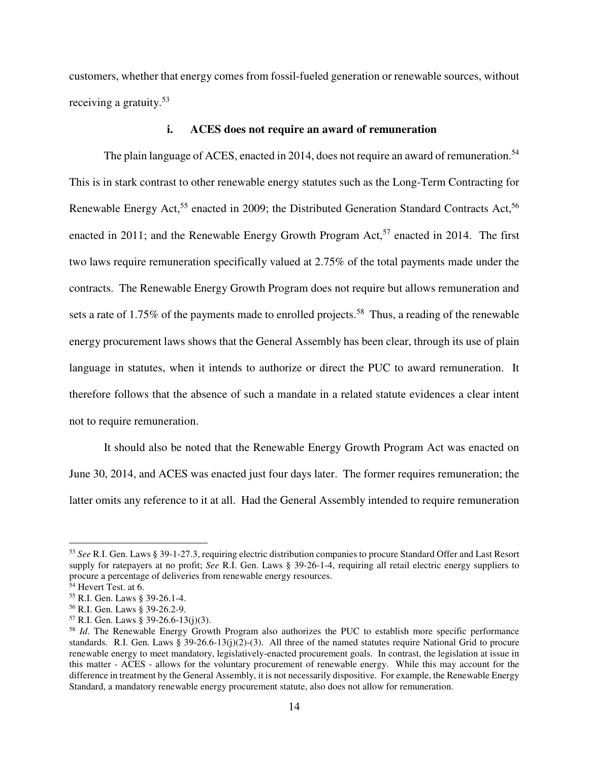customers, whether that energy comes from fossil-fueled generation or renewable sources, without receiving a gratuity.<sup>53</sup>

## **i. ACES does not require an award of remuneration**

The plain language of ACES, enacted in 2014, does not require an award of remuneration.<sup>54</sup> This is in stark contrast to other renewable energy statutes such as the Long-Term Contracting for Renewable Energy Act,<sup>55</sup> enacted in 2009; the Distributed Generation Standard Contracts Act,<sup>56</sup> enacted in 2011; and the Renewable Energy Growth Program Act,<sup>57</sup> enacted in 2014. The first two laws require remuneration specifically valued at 2.75% of the total payments made under the contracts. The Renewable Energy Growth Program does not require but allows remuneration and sets a rate of 1.75% of the payments made to enrolled projects.<sup>58</sup> Thus, a reading of the renewable energy procurement laws shows that the General Assembly has been clear, through its use of plain language in statutes, when it intends to authorize or direct the PUC to award remuneration. It therefore follows that the absence of such a mandate in a related statute evidences a clear intent not to require remuneration.

It should also be noted that the Renewable Energy Growth Program Act was enacted on June 30, 2014, and ACES was enacted just four days later. The former requires remuneration; the latter omits any reference to it at all. Had the General Assembly intended to require remuneration

<sup>53</sup> *See* R.I. Gen. Laws § 39-1-27.3, requiring electric distribution companies to procure Standard Offer and Last Resort supply for ratepayers at no profit; *See* R.I. Gen. Laws § 39-26-1-4, requiring all retail electric energy suppliers to procure a percentage of deliveries from renewable energy resources.

<sup>54</sup> Hevert Test. at 6.

<sup>55</sup> R.I. Gen. Laws § 39-26.1-4.

<sup>56</sup> R.I. Gen. Laws § 39-26.2-9.

<sup>57</sup> R.I. Gen. Laws § 39-26.6-13(j)(3).

<sup>&</sup>lt;sup>58</sup> *Id*. The Renewable Energy Growth Program also authorizes the PUC to establish more specific performance standards. R.I. Gen. Laws § 39-26.6-13(j)(2)-(3). All three of the named statutes require National Grid to procure renewable energy to meet mandatory, legislatively-enacted procurement goals. In contrast, the legislation at issue in this matter - ACES - allows for the voluntary procurement of renewable energy. While this may account for the difference in treatment by the General Assembly, it is not necessarily dispositive. For example, the Renewable Energy Standard, a mandatory renewable energy procurement statute, also does not allow for remuneration.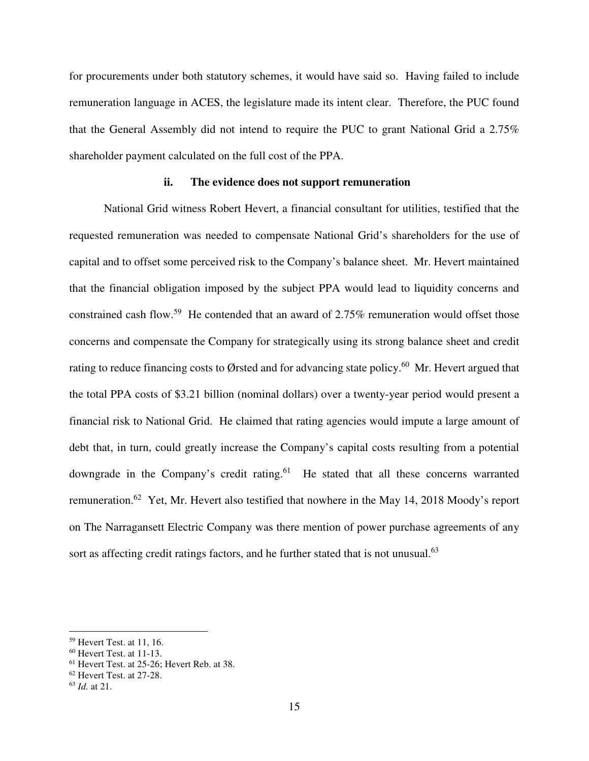for procurements under both statutory schemes, it would have said so. Having failed to include remuneration language in ACES, the legislature made its intent clear. Therefore, the PUC found that the General Assembly did not intend to require the PUC to grant National Grid a 2.75% shareholder payment calculated on the full cost of the PPA.

### **ii. The evidence does not support remuneration**

National Grid witness Robert Hevert, a financial consultant for utilities, testified that the requested remuneration was needed to compensate National Grid's shareholders for the use of capital and to offset some perceived risk to the Company's balance sheet. Mr. Hevert maintained that the financial obligation imposed by the subject PPA would lead to liquidity concerns and constrained cash flow.<sup>59</sup> He contended that an award of 2.75% remuneration would offset those concerns and compensate the Company for strategically using its strong balance sheet and credit rating to reduce financing costs to Ørsted and for advancing state policy.<sup>60</sup> Mr. Hevert argued that the total PPA costs of \$3.21 billion (nominal dollars) over a twenty-year period would present a financial risk to National Grid. He claimed that rating agencies would impute a large amount of debt that, in turn, could greatly increase the Company's capital costs resulting from a potential downgrade in the Company's credit rating.<sup>61</sup> He stated that all these concerns warranted remuneration.<sup>62</sup> Yet, Mr. Hevert also testified that nowhere in the May 14, 2018 Moody's report on The Narragansett Electric Company was there mention of power purchase agreements of any sort as affecting credit ratings factors, and he further stated that is not unusual.<sup>63</sup>

 $59$  Hevert Test. at 11, 16.

<sup>60</sup> Hevert Test. at 11-13.

<sup>61</sup> Hevert Test. at 25-26; Hevert Reb. at 38.

<sup>62</sup> Hevert Test. at 27-28.

<sup>63</sup> *Id.* at 21.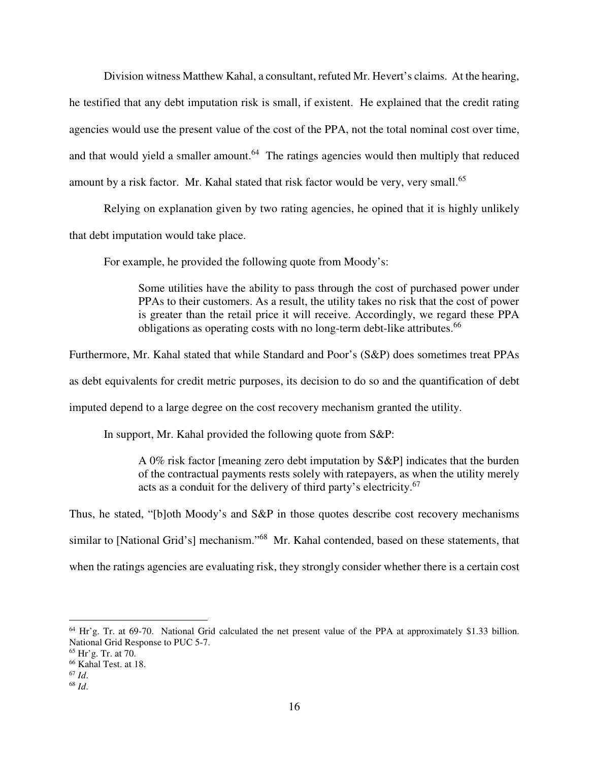Division witness Matthew Kahal, a consultant, refuted Mr. Hevert's claims. At the hearing, he testified that any debt imputation risk is small, if existent. He explained that the credit rating agencies would use the present value of the cost of the PPA, not the total nominal cost over time, and that would yield a smaller amount.<sup>64</sup> The ratings agencies would then multiply that reduced amount by a risk factor. Mr. Kahal stated that risk factor would be very, very small.<sup>65</sup>

Relying on explanation given by two rating agencies, he opined that it is highly unlikely that debt imputation would take place.

For example, he provided the following quote from Moody's:

Some utilities have the ability to pass through the cost of purchased power under PPAs to their customers. As a result, the utility takes no risk that the cost of power is greater than the retail price it will receive. Accordingly, we regard these PPA obligations as operating costs with no long-term debt-like attributes.<sup>66</sup>

Furthermore, Mr. Kahal stated that while Standard and Poor's (S&P) does sometimes treat PPAs

as debt equivalents for credit metric purposes, its decision to do so and the quantification of debt

imputed depend to a large degree on the cost recovery mechanism granted the utility.

In support, Mr. Kahal provided the following quote from S&P:

A 0% risk factor [meaning zero debt imputation by S&P] indicates that the burden of the contractual payments rests solely with ratepayers, as when the utility merely acts as a conduit for the delivery of third party's electricity.<sup>67</sup>

Thus, he stated, "[b]oth Moody's and S&P in those quotes describe cost recovery mechanisms

similar to [National Grid's] mechanism."<sup>68</sup> Mr. Kahal contended, based on these statements, that

when the ratings agencies are evaluating risk, they strongly consider whether there is a certain cost

 $\overline{a}$  $64$  Hr'g. Tr. at 69-70. National Grid calculated the net present value of the PPA at approximately \$1.33 billion. National Grid Response to PUC 5-7.

<sup>65</sup> Hr'g. Tr. at 70.

<sup>66</sup> Kahal Test. at 18.

<sup>67</sup> *Id*.

<sup>68</sup> *Id*.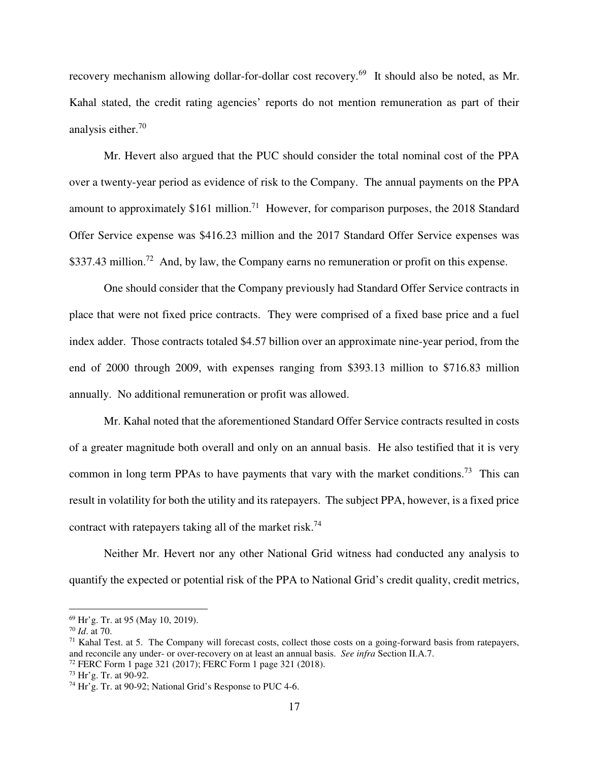recovery mechanism allowing dollar-for-dollar cost recovery.<sup>69</sup> It should also be noted, as Mr. Kahal stated, the credit rating agencies' reports do not mention remuneration as part of their analysis either.<sup>70</sup>

Mr. Hevert also argued that the PUC should consider the total nominal cost of the PPA over a twenty-year period as evidence of risk to the Company. The annual payments on the PPA amount to approximately \$161 million.<sup>71</sup> However, for comparison purposes, the 2018 Standard Offer Service expense was \$416.23 million and the 2017 Standard Offer Service expenses was \$337.43 million.<sup>72</sup> And, by law, the Company earns no remuneration or profit on this expense.

One should consider that the Company previously had Standard Offer Service contracts in place that were not fixed price contracts. They were comprised of a fixed base price and a fuel index adder. Those contracts totaled \$4.57 billion over an approximate nine-year period, from the end of 2000 through 2009, with expenses ranging from \$393.13 million to \$716.83 million annually. No additional remuneration or profit was allowed.

Mr. Kahal noted that the aforementioned Standard Offer Service contracts resulted in costs of a greater magnitude both overall and only on an annual basis. He also testified that it is very common in long term PPAs to have payments that vary with the market conditions.<sup>73</sup> This can result in volatility for both the utility and its ratepayers. The subject PPA, however, is a fixed price contract with ratepayers taking all of the market risk.<sup>74</sup>

Neither Mr. Hevert nor any other National Grid witness had conducted any analysis to quantify the expected or potential risk of the PPA to National Grid's credit quality, credit metrics,

<sup>69</sup> Hr'g. Tr. at 95 (May 10, 2019).

<sup>70</sup> *Id*. at 70.

 $71$  Kahal Test. at 5. The Company will forecast costs, collect those costs on a going-forward basis from ratepayers, and reconcile any under- or over-recovery on at least an annual basis. *See infra* Section II.A.7.

<sup>72</sup> FERC Form 1 page 321 (2017); FERC Form 1 page 321 (2018).

<sup>73</sup> Hr'g. Tr. at 90-92.

<sup>74</sup> Hr'g. Tr. at 90-92; National Grid's Response to PUC 4-6.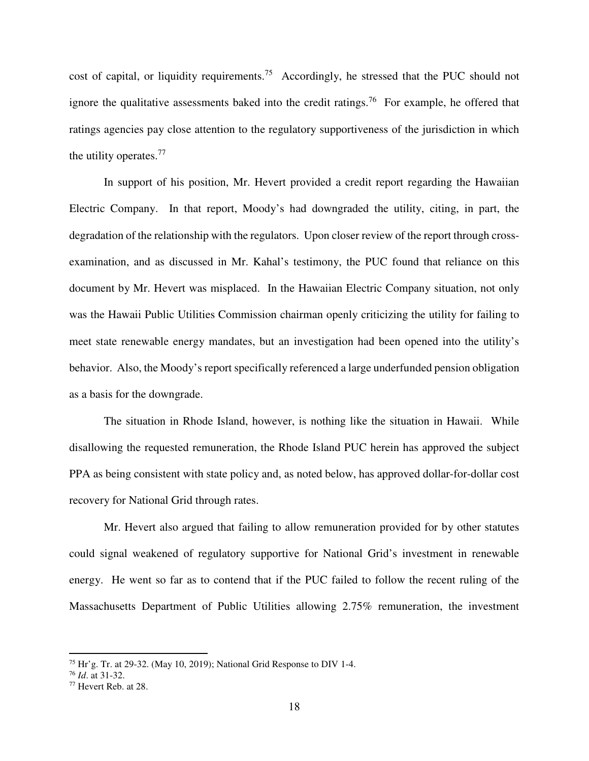cost of capital, or liquidity requirements.<sup>75</sup> Accordingly, he stressed that the PUC should not ignore the qualitative assessments baked into the credit ratings.<sup>76</sup> For example, he offered that ratings agencies pay close attention to the regulatory supportiveness of the jurisdiction in which the utility operates.<sup>77</sup>

In support of his position, Mr. Hevert provided a credit report regarding the Hawaiian Electric Company. In that report, Moody's had downgraded the utility, citing, in part, the degradation of the relationship with the regulators. Upon closer review of the report through crossexamination, and as discussed in Mr. Kahal's testimony, the PUC found that reliance on this document by Mr. Hevert was misplaced. In the Hawaiian Electric Company situation, not only was the Hawaii Public Utilities Commission chairman openly criticizing the utility for failing to meet state renewable energy mandates, but an investigation had been opened into the utility's behavior. Also, the Moody's report specifically referenced a large underfunded pension obligation as a basis for the downgrade.

The situation in Rhode Island, however, is nothing like the situation in Hawaii. While disallowing the requested remuneration, the Rhode Island PUC herein has approved the subject PPA as being consistent with state policy and, as noted below, has approved dollar-for-dollar cost recovery for National Grid through rates.

Mr. Hevert also argued that failing to allow remuneration provided for by other statutes could signal weakened of regulatory supportive for National Grid's investment in renewable energy. He went so far as to contend that if the PUC failed to follow the recent ruling of the Massachusetts Department of Public Utilities allowing 2.75% remuneration, the investment

 $75$  Hr'g. Tr. at 29-32. (May 10, 2019); National Grid Response to DIV 1-4.

<sup>76</sup> *Id*. at 31-32.

<sup>77</sup> Hevert Reb. at 28.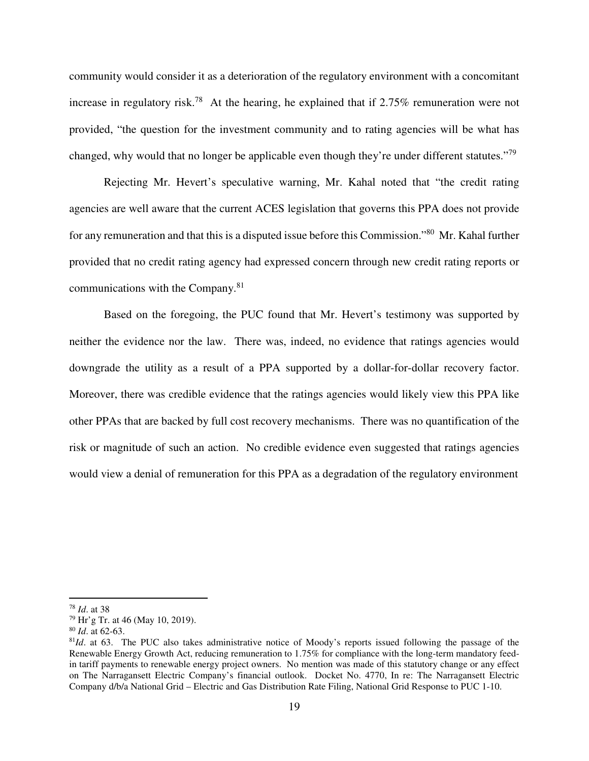community would consider it as a deterioration of the regulatory environment with a concomitant increase in regulatory risk.<sup>78</sup> At the hearing, he explained that if  $2.75\%$  remuneration were not provided, "the question for the investment community and to rating agencies will be what has changed, why would that no longer be applicable even though they're under different statutes."<sup>79</sup>

Rejecting Mr. Hevert's speculative warning, Mr. Kahal noted that "the credit rating agencies are well aware that the current ACES legislation that governs this PPA does not provide for any remuneration and that this is a disputed issue before this Commission."<sup>80</sup> Mr. Kahal further provided that no credit rating agency had expressed concern through new credit rating reports or communications with the Company.<sup>81</sup>

Based on the foregoing, the PUC found that Mr. Hevert's testimony was supported by neither the evidence nor the law. There was, indeed, no evidence that ratings agencies would downgrade the utility as a result of a PPA supported by a dollar-for-dollar recovery factor. Moreover, there was credible evidence that the ratings agencies would likely view this PPA like other PPAs that are backed by full cost recovery mechanisms. There was no quantification of the risk or magnitude of such an action. No credible evidence even suggested that ratings agencies would view a denial of remuneration for this PPA as a degradation of the regulatory environment

<sup>78</sup> *Id*. at 38

<sup>79</sup> Hr'g Tr. at 46 (May 10, 2019).

<sup>80</sup> *Id*. at 62-63.

<sup>&</sup>lt;sup>81</sup>*Id*. at 63. The PUC also takes administrative notice of Moody's reports issued following the passage of the Renewable Energy Growth Act, reducing remuneration to 1.75% for compliance with the long-term mandatory feedin tariff payments to renewable energy project owners. No mention was made of this statutory change or any effect on The Narragansett Electric Company's financial outlook. Docket No. 4770, In re: The Narragansett Electric Company d/b/a National Grid – Electric and Gas Distribution Rate Filing, National Grid Response to PUC 1-10.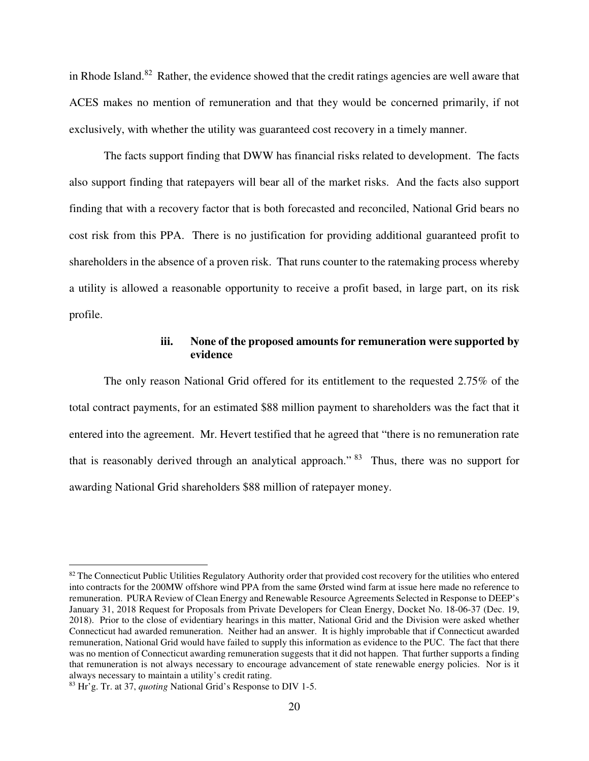in Rhode Island.<sup>82</sup> Rather, the evidence showed that the credit ratings agencies are well aware that ACES makes no mention of remuneration and that they would be concerned primarily, if not exclusively, with whether the utility was guaranteed cost recovery in a timely manner.

The facts support finding that DWW has financial risks related to development. The facts also support finding that ratepayers will bear all of the market risks. And the facts also support finding that with a recovery factor that is both forecasted and reconciled, National Grid bears no cost risk from this PPA. There is no justification for providing additional guaranteed profit to shareholders in the absence of a proven risk. That runs counter to the ratemaking process whereby a utility is allowed a reasonable opportunity to receive a profit based, in large part, on its risk profile.

## **iii. None of the proposed amounts for remuneration were supported by evidence**

The only reason National Grid offered for its entitlement to the requested 2.75% of the total contract payments, for an estimated \$88 million payment to shareholders was the fact that it entered into the agreement. Mr. Hevert testified that he agreed that "there is no remuneration rate that is reasonably derived through an analytical approach."  $83$  Thus, there was no support for awarding National Grid shareholders \$88 million of ratepayer money.

 $82$  The Connecticut Public Utilities Regulatory Authority order that provided cost recovery for the utilities who entered into contracts for the 200MW offshore wind PPA from the same Ørsted wind farm at issue here made no reference to remuneration. PURA Review of Clean Energy and Renewable Resource Agreements Selected in Response to DEEP's January 31, 2018 Request for Proposals from Private Developers for Clean Energy, Docket No. 18-06-37 (Dec. 19, 2018). Prior to the close of evidentiary hearings in this matter, National Grid and the Division were asked whether Connecticut had awarded remuneration. Neither had an answer. It is highly improbable that if Connecticut awarded remuneration, National Grid would have failed to supply this information as evidence to the PUC. The fact that there was no mention of Connecticut awarding remuneration suggests that it did not happen. That further supports a finding that remuneration is not always necessary to encourage advancement of state renewable energy policies. Nor is it always necessary to maintain a utility's credit rating.

<sup>83</sup> Hr'g. Tr. at 37, *quoting* National Grid's Response to DIV 1-5.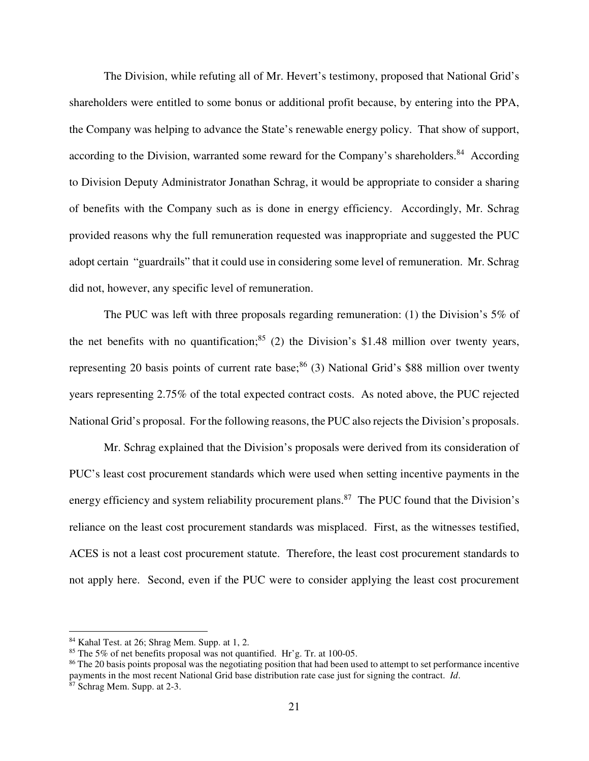The Division, while refuting all of Mr. Hevert's testimony, proposed that National Grid's shareholders were entitled to some bonus or additional profit because, by entering into the PPA, the Company was helping to advance the State's renewable energy policy. That show of support, according to the Division, warranted some reward for the Company's shareholders.<sup>84</sup> According to Division Deputy Administrator Jonathan Schrag, it would be appropriate to consider a sharing of benefits with the Company such as is done in energy efficiency. Accordingly, Mr. Schrag provided reasons why the full remuneration requested was inappropriate and suggested the PUC adopt certain "guardrails" that it could use in considering some level of remuneration. Mr. Schrag did not, however, any specific level of remuneration.

The PUC was left with three proposals regarding remuneration: (1) the Division's 5% of the net benefits with no quantification;  $85$  (2) the Division's \$1.48 million over twenty years, representing 20 basis points of current rate base;<sup>86</sup> (3) National Grid's \$88 million over twenty years representing 2.75% of the total expected contract costs. As noted above, the PUC rejected National Grid's proposal. For the following reasons, the PUC also rejects the Division's proposals.

Mr. Schrag explained that the Division's proposals were derived from its consideration of PUC's least cost procurement standards which were used when setting incentive payments in the energy efficiency and system reliability procurement plans.<sup>87</sup> The PUC found that the Division's reliance on the least cost procurement standards was misplaced. First, as the witnesses testified, ACES is not a least cost procurement statute. Therefore, the least cost procurement standards to not apply here. Second, even if the PUC were to consider applying the least cost procurement

<sup>84</sup> Kahal Test. at 26; Shrag Mem. Supp. at 1, 2.

<sup>85</sup> The 5% of net benefits proposal was not quantified. Hr'g. Tr. at 100-05.

<sup>&</sup>lt;sup>86</sup> The 20 basis points proposal was the negotiating position that had been used to attempt to set performance incentive payments in the most recent National Grid base distribution rate case just for signing the contract. *Id*.

<sup>87</sup> Schrag Mem. Supp. at 2-3.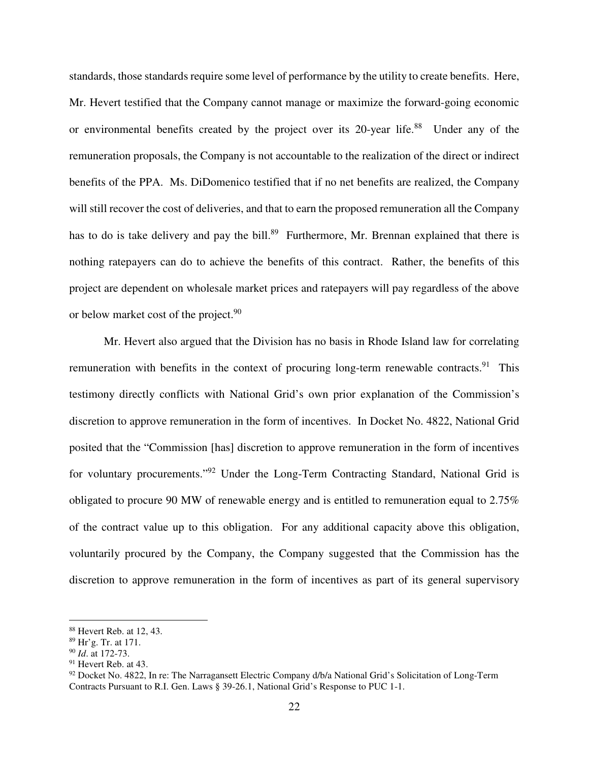standards, those standards require some level of performance by the utility to create benefits. Here, Mr. Hevert testified that the Company cannot manage or maximize the forward-going economic or environmental benefits created by the project over its 20-year life.<sup>88</sup> Under any of the remuneration proposals, the Company is not accountable to the realization of the direct or indirect benefits of the PPA. Ms. DiDomenico testified that if no net benefits are realized, the Company will still recover the cost of deliveries, and that to earn the proposed remuneration all the Company has to do is take delivery and pay the bill.<sup>89</sup> Furthermore, Mr. Brennan explained that there is nothing ratepayers can do to achieve the benefits of this contract. Rather, the benefits of this project are dependent on wholesale market prices and ratepayers will pay regardless of the above or below market cost of the project.<sup>90</sup>

Mr. Hevert also argued that the Division has no basis in Rhode Island law for correlating remuneration with benefits in the context of procuring long-term renewable contracts.<sup>91</sup> This testimony directly conflicts with National Grid's own prior explanation of the Commission's discretion to approve remuneration in the form of incentives. In Docket No. 4822, National Grid posited that the "Commission [has] discretion to approve remuneration in the form of incentives for voluntary procurements."<sup>92</sup> Under the Long-Term Contracting Standard, National Grid is obligated to procure 90 MW of renewable energy and is entitled to remuneration equal to 2.75% of the contract value up to this obligation. For any additional capacity above this obligation, voluntarily procured by the Company, the Company suggested that the Commission has the discretion to approve remuneration in the form of incentives as part of its general supervisory

<sup>88</sup> Hevert Reb. at 12, 43.

<sup>89</sup> Hr'g. Tr. at 171.

<sup>90</sup> *Id*. at 172-73.

<sup>&</sup>lt;sup>91</sup> Hevert Reb. at 43.

<sup>&</sup>lt;sup>92</sup> Docket No. 4822, In re: The Narragansett Electric Company d/b/a National Grid's Solicitation of Long-Term Contracts Pursuant to R.I. Gen. Laws § 39-26.1, National Grid's Response to PUC 1-1.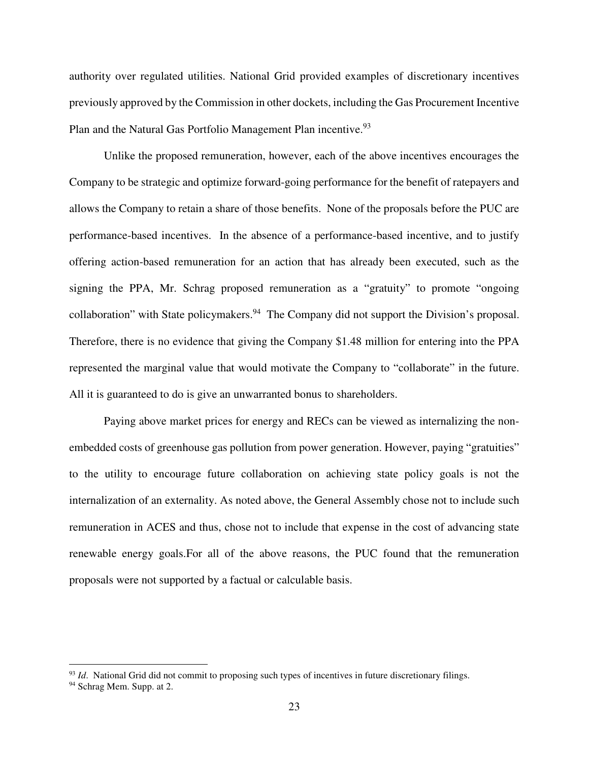authority over regulated utilities. National Grid provided examples of discretionary incentives previously approved by the Commission in other dockets, including the Gas Procurement Incentive Plan and the Natural Gas Portfolio Management Plan incentive.<sup>93</sup>

Unlike the proposed remuneration, however, each of the above incentives encourages the Company to be strategic and optimize forward-going performance for the benefit of ratepayers and allows the Company to retain a share of those benefits. None of the proposals before the PUC are performance-based incentives. In the absence of a performance-based incentive, and to justify offering action-based remuneration for an action that has already been executed, such as the signing the PPA, Mr. Schrag proposed remuneration as a "gratuity" to promote "ongoing collaboration" with State policymakers.<sup>94</sup> The Company did not support the Division's proposal. Therefore, there is no evidence that giving the Company \$1.48 million for entering into the PPA represented the marginal value that would motivate the Company to "collaborate" in the future. All it is guaranteed to do is give an unwarranted bonus to shareholders.

Paying above market prices for energy and RECs can be viewed as internalizing the nonembedded costs of greenhouse gas pollution from power generation. However, paying "gratuities" to the utility to encourage future collaboration on achieving state policy goals is not the internalization of an externality. As noted above, the General Assembly chose not to include such remuneration in ACES and thus, chose not to include that expense in the cost of advancing state renewable energy goals.For all of the above reasons, the PUC found that the remuneration proposals were not supported by a factual or calculable basis.

<sup>&</sup>lt;sup>93</sup> *Id.* National Grid did not commit to proposing such types of incentives in future discretionary filings.

<sup>94</sup> Schrag Mem. Supp. at 2.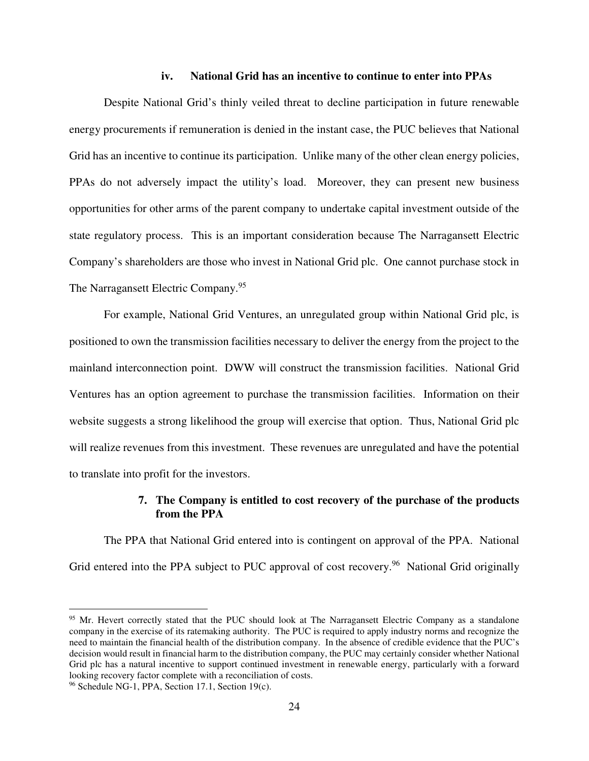#### **iv. National Grid has an incentive to continue to enter into PPAs**

Despite National Grid's thinly veiled threat to decline participation in future renewable energy procurements if remuneration is denied in the instant case, the PUC believes that National Grid has an incentive to continue its participation. Unlike many of the other clean energy policies, PPAs do not adversely impact the utility's load. Moreover, they can present new business opportunities for other arms of the parent company to undertake capital investment outside of the state regulatory process. This is an important consideration because The Narragansett Electric Company's shareholders are those who invest in National Grid plc. One cannot purchase stock in The Narragansett Electric Company.<sup>95</sup>

For example, National Grid Ventures, an unregulated group within National Grid plc, is positioned to own the transmission facilities necessary to deliver the energy from the project to the mainland interconnection point. DWW will construct the transmission facilities. National Grid Ventures has an option agreement to purchase the transmission facilities. Information on their website suggests a strong likelihood the group will exercise that option. Thus, National Grid plc will realize revenues from this investment. These revenues are unregulated and have the potential to translate into profit for the investors.

## **7. The Company is entitled to cost recovery of the purchase of the products from the PPA**

The PPA that National Grid entered into is contingent on approval of the PPA. National Grid entered into the PPA subject to PUC approval of cost recovery.<sup>96</sup> National Grid originally

<sup>&</sup>lt;sup>95</sup> Mr. Hevert correctly stated that the PUC should look at The Narragansett Electric Company as a standalone company in the exercise of its ratemaking authority. The PUC is required to apply industry norms and recognize the need to maintain the financial health of the distribution company. In the absence of credible evidence that the PUC's decision would result in financial harm to the distribution company, the PUC may certainly consider whether National Grid plc has a natural incentive to support continued investment in renewable energy, particularly with a forward looking recovery factor complete with a reconciliation of costs.

<sup>96</sup> Schedule NG-1, PPA, Section 17.1, Section 19(c).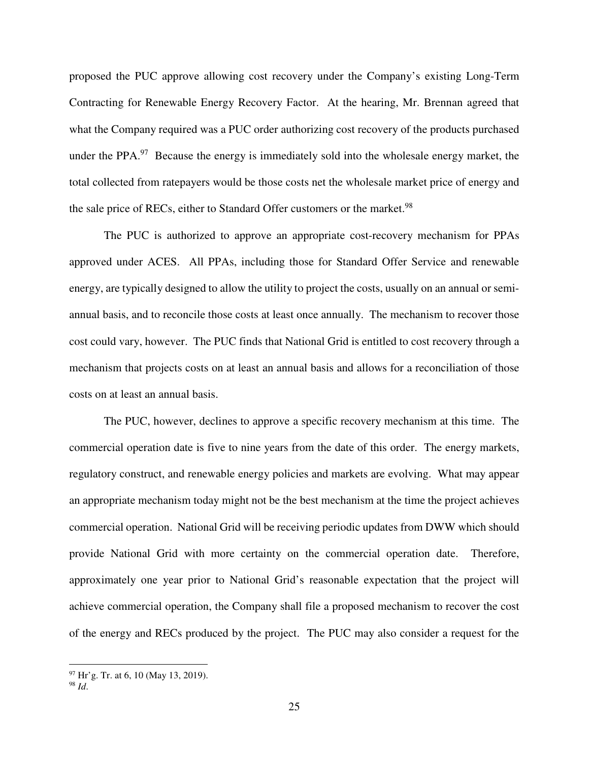proposed the PUC approve allowing cost recovery under the Company's existing Long-Term Contracting for Renewable Energy Recovery Factor. At the hearing, Mr. Brennan agreed that what the Company required was a PUC order authorizing cost recovery of the products purchased under the PPA.<sup>97</sup> Because the energy is immediately sold into the wholesale energy market, the total collected from ratepayers would be those costs net the wholesale market price of energy and the sale price of RECs, either to Standard Offer customers or the market.<sup>98</sup>

The PUC is authorized to approve an appropriate cost-recovery mechanism for PPAs approved under ACES. All PPAs, including those for Standard Offer Service and renewable energy, are typically designed to allow the utility to project the costs, usually on an annual or semiannual basis, and to reconcile those costs at least once annually. The mechanism to recover those cost could vary, however. The PUC finds that National Grid is entitled to cost recovery through a mechanism that projects costs on at least an annual basis and allows for a reconciliation of those costs on at least an annual basis.

The PUC, however, declines to approve a specific recovery mechanism at this time. The commercial operation date is five to nine years from the date of this order. The energy markets, regulatory construct, and renewable energy policies and markets are evolving. What may appear an appropriate mechanism today might not be the best mechanism at the time the project achieves commercial operation. National Grid will be receiving periodic updates from DWW which should provide National Grid with more certainty on the commercial operation date. Therefore, approximately one year prior to National Grid's reasonable expectation that the project will achieve commercial operation, the Company shall file a proposed mechanism to recover the cost of the energy and RECs produced by the project. The PUC may also consider a request for the

 $97$  Hr'g. Tr. at 6, 10 (May 13, 2019).

<sup>98</sup> *Id*.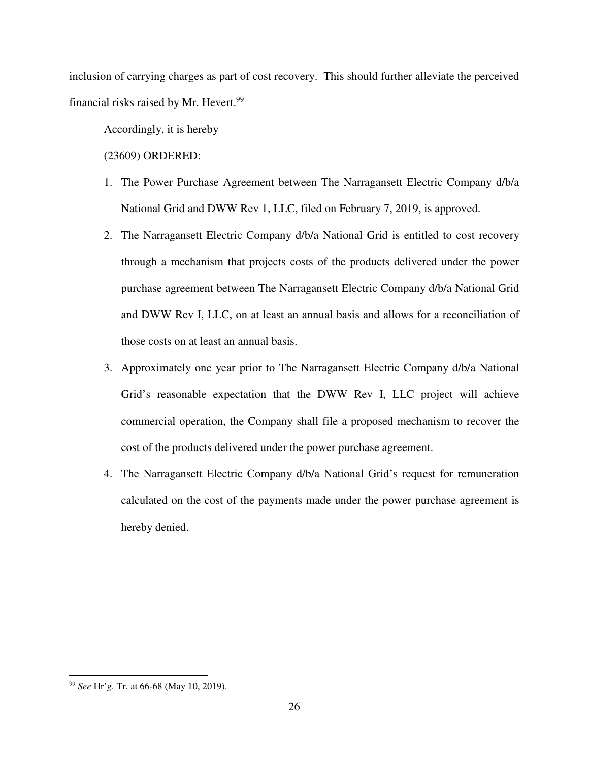inclusion of carrying charges as part of cost recovery. This should further alleviate the perceived financial risks raised by Mr. Hevert.<sup>99</sup>

Accordingly, it is hereby

(23609) ORDERED:

- 1. The Power Purchase Agreement between The Narragansett Electric Company d/b/a National Grid and DWW Rev 1, LLC, filed on February 7, 2019, is approved.
- 2. The Narragansett Electric Company d/b/a National Grid is entitled to cost recovery through a mechanism that projects costs of the products delivered under the power purchase agreement between The Narragansett Electric Company d/b/a National Grid and DWW Rev I, LLC, on at least an annual basis and allows for a reconciliation of those costs on at least an annual basis.
- 3. Approximately one year prior to The Narragansett Electric Company d/b/a National Grid's reasonable expectation that the DWW Rev I, LLC project will achieve commercial operation, the Company shall file a proposed mechanism to recover the cost of the products delivered under the power purchase agreement.
- 4. The Narragansett Electric Company d/b/a National Grid's request for remuneration calculated on the cost of the payments made under the power purchase agreement is hereby denied.

 $\overline{a}$ <sup>99</sup> *See* Hr'g. Tr. at 66-68 (May 10, 2019).